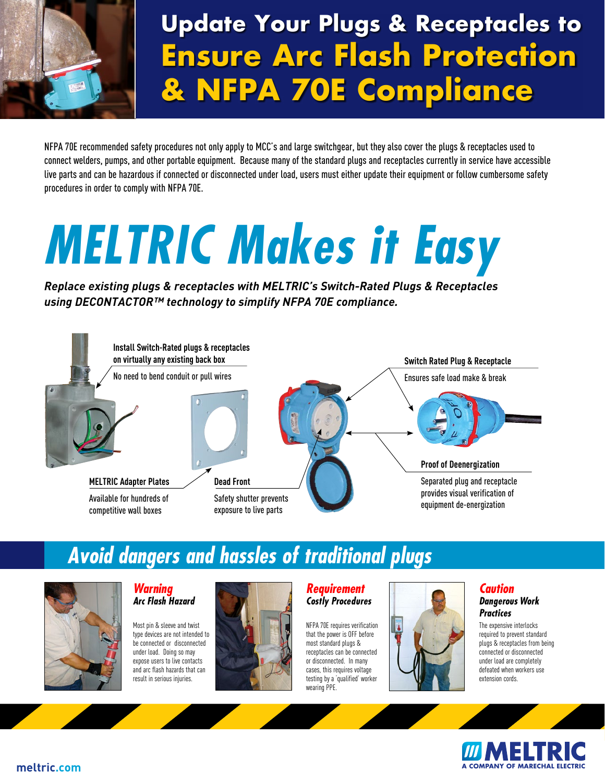

## **Update Your Plugs & Receptacles to Ensure Arc Flash Protection & NFPA 70E Compliance**

NFPA 70E recommended safety procedures not only apply to MCC's and large switchgear, but they also cover the plugs & receptacles used to connect welders, pumps, and other portable equipment. Because many of the standard plugs and receptacles currently in service have accessible live parts and can be hazardous if connected or disconnected under load, users must either update their equipment or follow cumbersome safety procedures in order to comply with NFPA 70E.

# *MELTRIC Makes it Easy*

*Replace existing plugs & receptacles with MELTRIC's Switch-Rated Plugs & Receptacles using DECONTACTOR™ technology to simplify NFPA 70E compliance.*



### *Avoid dangers and hassles of traditional plugs*



#### *Warning Arc Flash Hazard*

Most pin & sleeve and twist type devices are not intended to be connected or disconnected under load. Doing so may expose users to live contacts and arc flash hazards that can result in serious injuries.



#### *Requirement Costly Procedures*

NFPA 70E requires verification that the power is OFF before most standard plugs & receptacles can be connected or disconnected. In many cases, this requires voltage testing by a 'qualified' worker wearing PPE.



#### *Caution Dangerous Work Practices*

The expensive interlocks required to prevent standard plugs & receptacles from being connected or disconnected under load are completely defeated when workers use extension cords.